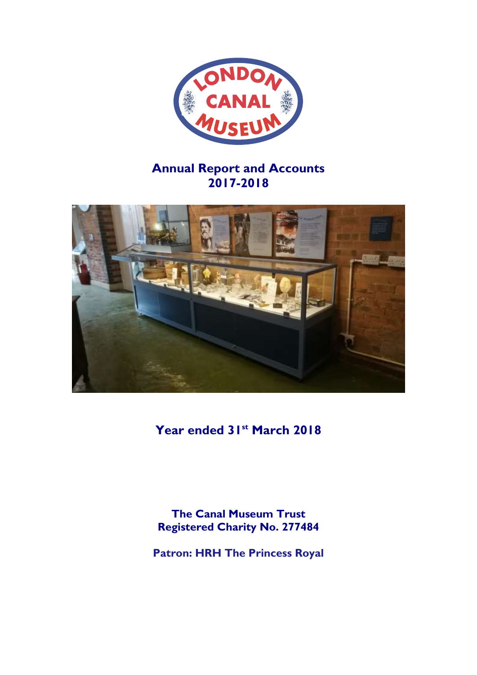

# **Annual Report and Accounts 2017-2018**



**Year ended 31st March 2018**

**The Canal Museum Trust Registered Charity No. 277484**

**Patron: HRH The Princess Royal**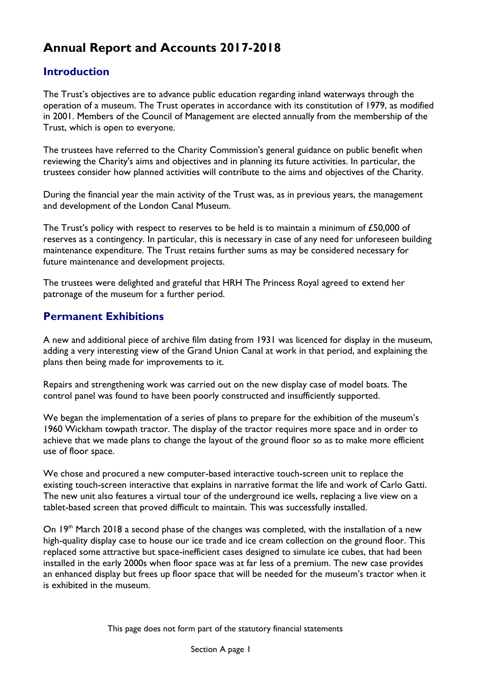# **Annual Report and Accounts 2017-2018**

## **Introduction**

The Trust's objectives are to advance public education regarding inland waterways through the operation of a museum. The Trust operates in accordance with its constitution of 1979, as modified in 2001. Members of the Council of Management are elected annually from the membership of the Trust, which is open to everyone.

The trustees have referred to the Charity Commission's general guidance on public benefit when reviewing the Charity's aims and objectives and in planning its future activities. In particular, the trustees consider how planned activities will contribute to the aims and objectives of the Charity.

During the financial year the main activity of the Trust was, as in previous years, the management and development of the London Canal Museum.

The Trust's policy with respect to reserves to be held is to maintain a minimum of £50,000 of reserves as a contingency. In particular, this is necessary in case of any need for unforeseen building maintenance expenditure. The Trust retains further sums as may be considered necessary for future maintenance and development projects.

The trustees were delighted and grateful that HRH The Princess Royal agreed to extend her patronage of the museum for a further period.

## **Permanent Exhibitions**

A new and additional piece of archive film dating from 1931 was licenced for display in the museum, adding a very interesting view of the Grand Union Canal at work in that period, and explaining the plans then being made for improvements to it.

Repairs and strengthening work was carried out on the new display case of model boats. The control panel was found to have been poorly constructed and insufficiently supported.

We began the implementation of a series of plans to prepare for the exhibition of the museum's 1960 Wickham towpath tractor. The display of the tractor requires more space and in order to achieve that we made plans to change the layout of the ground floor so as to make more efficient use of floor space.

We chose and procured a new computer-based interactive touch-screen unit to replace the existing touch-screen interactive that explains in narrative format the life and work of Carlo Gatti. The new unit also features a virtual tour of the underground ice wells, replacing a live view on a tablet-based screen that proved difficult to maintain. This was successfully installed.

On 19<sup>th</sup> March 2018 a second phase of the changes was completed, with the installation of a new high-quality display case to house our ice trade and ice cream collection on the ground floor. This replaced some attractive but space-inefficient cases designed to simulate ice cubes, that had been installed in the early 2000s when floor space was at far less of a premium. The new case provides an enhanced display but frees up floor space that will be needed for the museum's tractor when it is exhibited in the museum.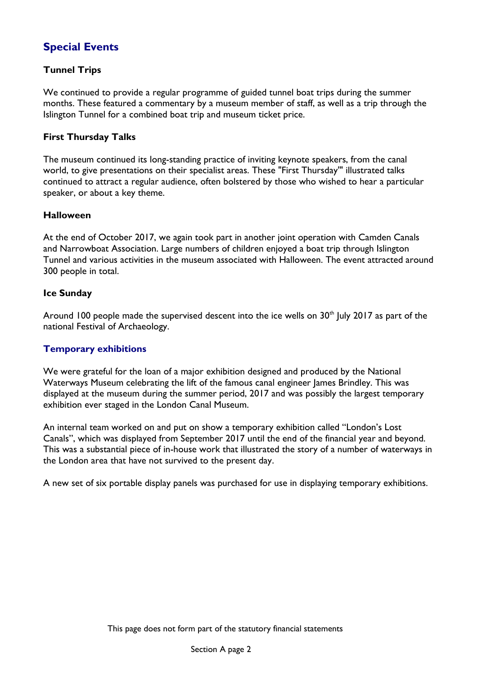## **Special Events**

## **Tunnel Trips**

We continued to provide a regular programme of guided tunnel boat trips during the summer months. These featured a commentary by a museum member of staff, as well as a trip through the Islington Tunnel for a combined boat trip and museum ticket price.

## **First Thursday Talks**

The museum continued its long-standing practice of inviting keynote speakers, from the canal world, to give presentations on their specialist areas. These "First Thursday'" illustrated talks continued to attract a regular audience, often bolstered by those who wished to hear a particular speaker, or about a key theme.

## **Halloween**

At the end of October 2017, we again took part in another joint operation with Camden Canals and Narrowboat Association. Large numbers of children enjoyed a boat trip through Islington Tunnel and various activities in the museum associated with Halloween. The event attracted around 300 people in total.

## **Ice Sunday**

Around 100 people made the supervised descent into the ice wells on  $30<sup>th</sup>$  July 2017 as part of the national Festival of Archaeology.

## **Temporary exhibitions**

We were grateful for the loan of a major exhibition designed and produced by the National Waterways Museum celebrating the lift of the famous canal engineer James Brindley. This was displayed at the museum during the summer period, 2017 and was possibly the largest temporary exhibition ever staged in the London Canal Museum.

An internal team worked on and put on show a temporary exhibition called "London's Lost Canals", which was displayed from September 2017 until the end of the financial year and beyond. This was a substantial piece of in-house work that illustrated the story of a number of waterways in the London area that have not survived to the present day.

A new set of six portable display panels was purchased for use in displaying temporary exhibitions.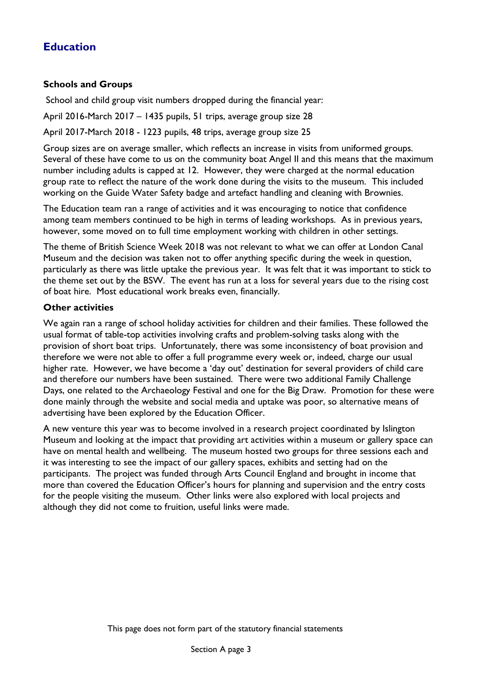## **Education**

## **Schools and Groups**

School and child group visit numbers dropped during the financial year:

April 2016-March 2017 – 1435 pupils, 51 trips, average group size 28

April 2017-March 2018 - 1223 pupils, 48 trips, average group size 25

Group sizes are on average smaller, which reflects an increase in visits from uniformed groups. Several of these have come to us on the community boat Angel II and this means that the maximum number including adults is capped at 12. However, they were charged at the normal education group rate to reflect the nature of the work done during the visits to the museum. This included working on the Guide Water Safety badge and artefact handling and cleaning with Brownies.

The Education team ran a range of activities and it was encouraging to notice that confidence among team members continued to be high in terms of leading workshops. As in previous years, however, some moved on to full time employment working with children in other settings.

The theme of British Science Week 2018 was not relevant to what we can offer at London Canal Museum and the decision was taken not to offer anything specific during the week in question, particularly as there was little uptake the previous year. It was felt that it was important to stick to the theme set out by the BSW. The event has run at a loss for several years due to the rising cost of boat hire. Most educational work breaks even, financially.

## **Other activities**

We again ran a range of school holiday activities for children and their families. These followed the usual format of table-top activities involving crafts and problem-solving tasks along with the provision of short boat trips. Unfortunately, there was some inconsistency of boat provision and therefore we were not able to offer a full programme every week or, indeed, charge our usual higher rate. However, we have become a 'day out' destination for several providers of child care and therefore our numbers have been sustained. There were two additional Family Challenge Days, one related to the Archaeology Festival and one for the Big Draw. Promotion for these were done mainly through the website and social media and uptake was poor, so alternative means of advertising have been explored by the Education Officer.

A new venture this year was to become involved in a research project coordinated by Islington Museum and looking at the impact that providing art activities within a museum or gallery space can have on mental health and wellbeing. The museum hosted two groups for three sessions each and it was interesting to see the impact of our gallery spaces, exhibits and setting had on the participants. The project was funded through Arts Council England and brought in income that more than covered the Education Officer's hours for planning and supervision and the entry costs for the people visiting the museum. Other links were also explored with local projects and although they did not come to fruition, useful links were made.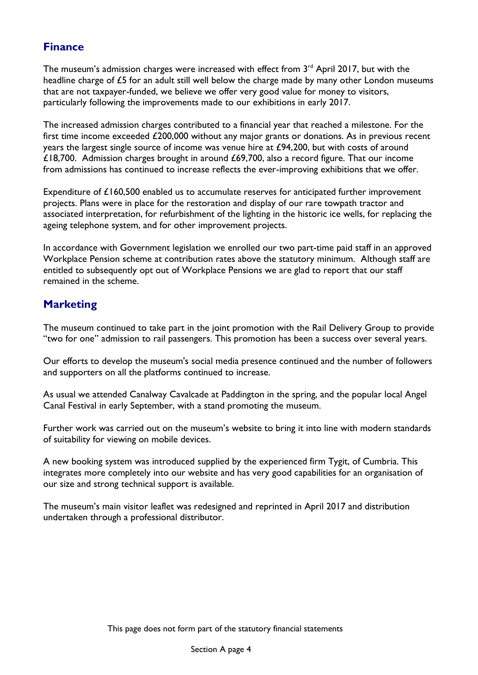## **Finance**

The museum's admission charges were increased with effect from  $3<sup>rd</sup>$  April 2017, but with the headline charge of £5 for an adult still well below the charge made by many other London museums that are not taxpayer-funded, we believe we offer very good value for money to visitors, particularly following the improvements made to our exhibitions in early 2017.

The increased admission charges contributed to a financial year that reached a milestone. For the first time income exceeded £200,000 without any major grants or donations. As in previous recent years the largest single source of income was venue hire at £94,200, but with costs of around £18,700. Admission charges brought in around £69,700, also a record figure. That our income from admissions has continued to increase reflects the ever-improving exhibitions that we offer.

Expenditure of £160,500 enabled us to accumulate reserves for anticipated further improvement projects. Plans were in place for the restoration and display of our rare towpath tractor and associated interpretation, for refurbishment of the lighting in the historic ice wells, for replacing the ageing telephone system, and for other improvement projects.

In accordance with Government legislation we enrolled our two part-time paid staff in an approved Workplace Pension scheme at contribution rates above the statutory minimum. Although staff are entitled to subsequently opt out of Workplace Pensions we are glad to report that our staff remained in the scheme.

## **Marketing**

The museum continued to take part in the joint promotion with the Rail Delivery Group to provide "two for one" admission to rail passengers. This promotion has been a success over several years.

Our efforts to develop the museum's social media presence continued and the number of followers and supporters on all the platforms continued to increase.

As usual we attended Canalway Cavalcade at Paddington in the spring, and the popular local Angel Canal Festival in early September, with a stand promoting the museum.

Further work was carried out on the museum's website to bring it into line with modern standards of suitability for viewing on mobile devices.

A new booking system was introduced supplied by the experienced firm Tygit, of Cumbria. This integrates more completely into our website and has very good capabilities for an organisation of our size and strong technical support is available.

The museum's main visitor leaflet was redesigned and reprinted in April 2017 and distribution undertaken through a professional distributor.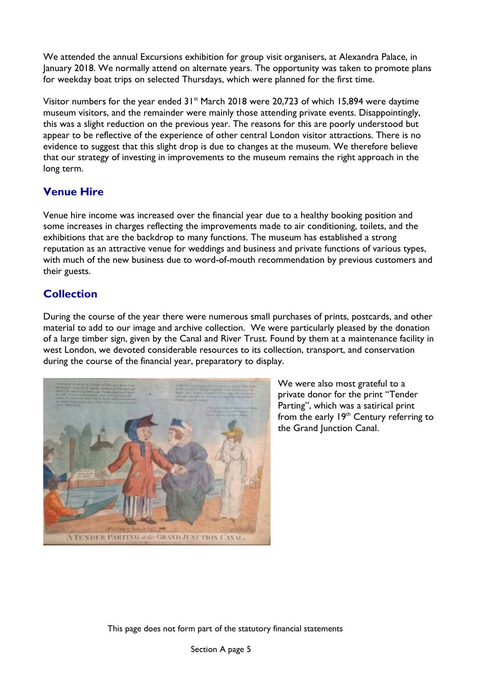We attended the annual Excursions exhibition for group visit organisers, at Alexandra Palace, in January 2018. We normally attend on alternate years. The opportunity was taken to promote plans for weekday boat trips on selected Thursdays, which were planned for the first time.

Visitor numbers for the year ended  $31<sup>st</sup>$  March 2018 were 20,723 of which 15,894 were daytime museum visitors, and the remainder were mainly those attending private events. Disappointingly, this was a slight reduction on the previous year. The reasons for this are poorly understood but appear to be reflective of the experience of other central London visitor attractions. There is no evidence to suggest that this slight drop is due to changes at the museum. We therefore believe that our strategy of investing in improvements to the museum remains the right approach in the long term.

## **Venue Hire**

Venue hire income was increased over the financial year due to a healthy booking position and some increases in charges reflecting the improvements made to air conditioning, toilets, and the exhibitions that are the backdrop to many functions. The museum has established a strong reputation as an attractive venue for weddings and business and private functions of various types, with much of the new business due to word-of-mouth recommendation by previous customers and their guests.

## **Collection**

During the course of the year there were numerous small purchases of prints, postcards, and other material to add to our image and archive collection. We were particularly pleased by the donation of a large timber sign, given by the Canal and River Trust. Found by them at a maintenance facility in west London, we devoted considerable resources to its collection, transport, and conservation during the course of the financial year, preparatory to display.



We were also most grateful to a private donor for the print "Tender Parting", which was a satirical print from the early 19<sup>th</sup> Century referring to the Grand Junction Canal.

This page does not form part of the statutory financial statements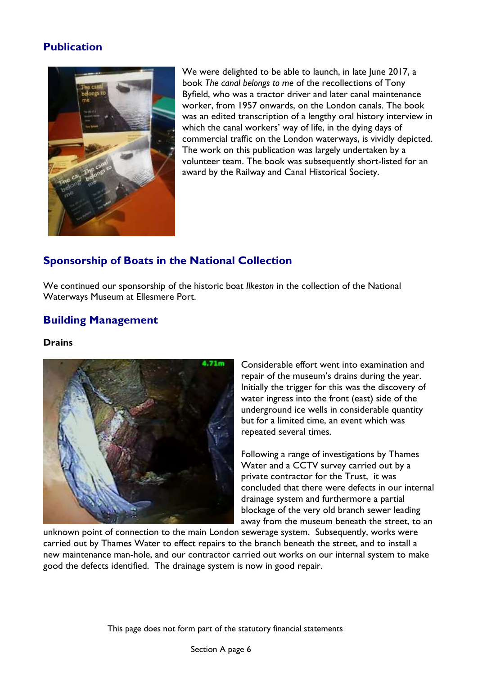## **Publication**



We were delighted to be able to launch, in late June 2017, a book *The canal belongs to me* of the recollections of Tony Byfield, who was a tractor driver and later canal maintenance worker, from 1957 onwards, on the London canals. The book was an edited transcription of a lengthy oral history interview in which the canal workers' way of life, in the dying days of commercial traffic on the London waterways, is vividly depicted. The work on this publication was largely undertaken by a volunteer team. The book was subsequently short-listed for an award by the Railway and Canal Historical Society.

## **Sponsorship of Boats in the National Collection**

We continued our sponsorship of the historic boat *Ilkeston* in the collection of the National Waterways Museum at Ellesmere Port.

## **Building Management**

## **Drains**



Considerable effort went into examination and repair of the museum's drains during the year. Initially the trigger for this was the discovery of water ingress into the front (east) side of the underground ice wells in considerable quantity but for a limited time, an event which was repeated several times.

Following a range of investigations by Thames Water and a CCTV survey carried out by a private contractor for the Trust, it was concluded that there were defects in our internal drainage system and furthermore a partial blockage of the very old branch sewer leading away from the museum beneath the street, to an

unknown point of connection to the main London sewerage system. Subsequently, works were carried out by Thames Water to effect repairs to the branch beneath the street, and to install a new maintenance man-hole, and our contractor carried out works on our internal system to make good the defects identified. The drainage system is now in good repair.

This page does not form part of the statutory financial statements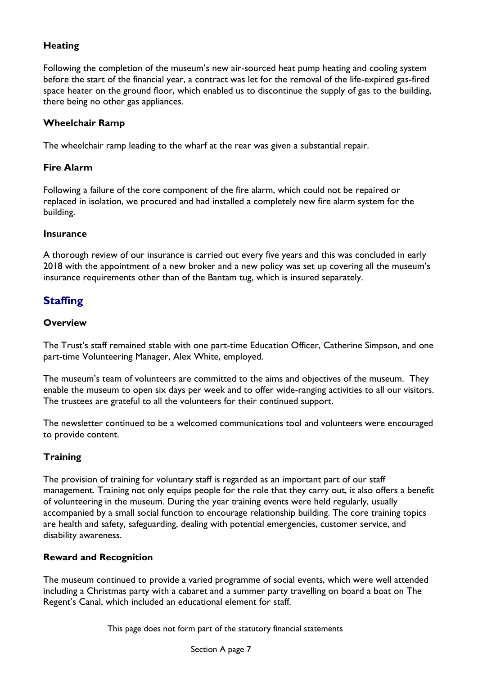## **Heating**

Following the completion of the museum's new air-sourced heat pump heating and cooling system before the start of the financial year, a contract was let for the removal of the life-expired gas-fired space heater on the ground floor, which enabled us to discontinue the supply of gas to the building, there being no other gas appliances.

## **Wheelchair Ramp**

The wheelchair ramp leading to the wharf at the rear was given a substantial repair.

## **Fire Alarm**

Following a failure of the core component of the fire alarm, which could not be repaired or replaced in isolation, we procured and had installed a completely new fire alarm system for the building.

## **Insurance**

A thorough review of our insurance is carried out every five years and this was concluded in early 2018 with the appointment of a new broker and a new policy was set up covering all the museum's insurance requirements other than of the Bantam tug, which is insured separately.

## **Staffing**

## **Overview**

The Trust's staff remained stable with one part-time Education Officer, Catherine Simpson, and one part-time Volunteering Manager, Alex White, employed.

The museum's team of volunteers are committed to the aims and objectives of the museum. They enable the museum to open six days per week and to offer wide-ranging activities to all our visitors. The trustees are grateful to all the volunteers for their continued support.

The newsletter continued to be a welcomed communications tool and volunteers were encouraged to provide content.

## **Training**

The provision of training for voluntary staff is regarded as an important part of our staff management. Training not only equips people for the role that they carry out, it also offers a benefit of volunteering in the museum. During the year training events were held regularly, usually accompanied by a small social function to encourage relationship building. The core training topics are health and safety, safeguarding, dealing with potential emergencies, customer service, and disability awareness.

## **Reward and Recognition**

The museum continued to provide a varied programme of social events, which were well attended including a Christmas party with a cabaret and a summer party travelling on board a boat on The Regent's Canal, which included an educational element for staff.

This page does not form part of the statutory financial statements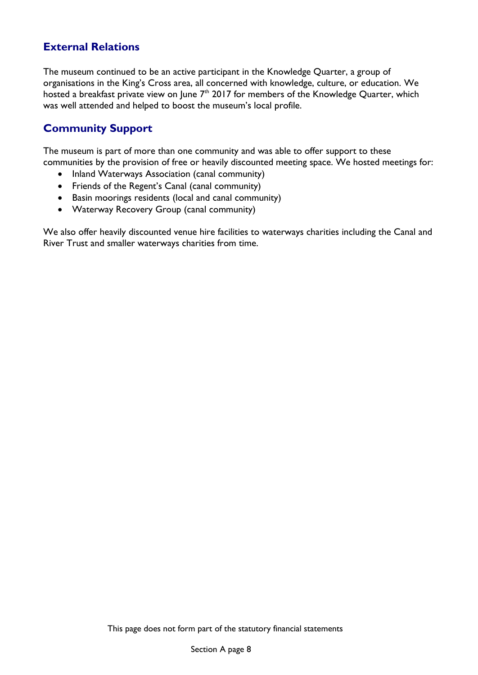## **External Relations**

The museum continued to be an active participant in the Knowledge Quarter, a group of organisations in the King's Cross area, all concerned with knowledge, culture, or education. We hosted a breakfast private view on June  $7<sup>th</sup>$  2017 for members of the Knowledge Quarter, which was well attended and helped to boost the museum's local profile.

## **Community Support**

The museum is part of more than one community and was able to offer support to these communities by the provision of free or heavily discounted meeting space. We hosted meetings for:

- Inland Waterways Association (canal community)
- Friends of the Regent's Canal (canal community)
- Basin moorings residents (local and canal community)
- Waterway Recovery Group (canal community)

We also offer heavily discounted venue hire facilities to waterways charities including the Canal and River Trust and smaller waterways charities from time.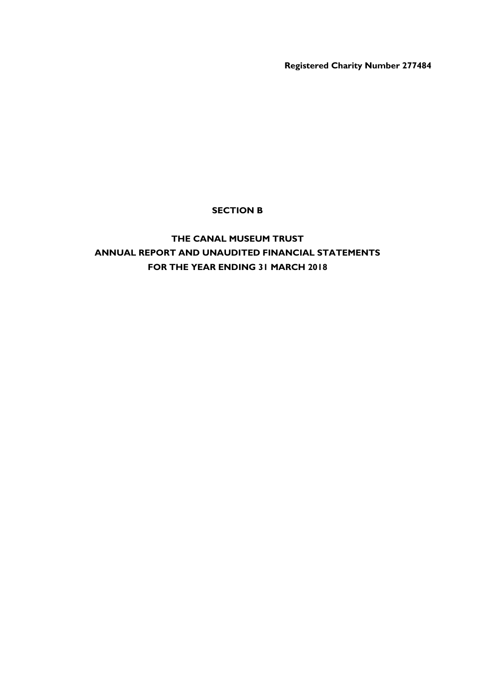**Registered Charity Number 277484**

## **SECTION B**

## **THE CANAL MUSEUM TRUST ANNUAL REPORT AND UNAUDITED FINANCIAL STATEMENTS FOR THE YEAR ENDING 31 MARCH 2018**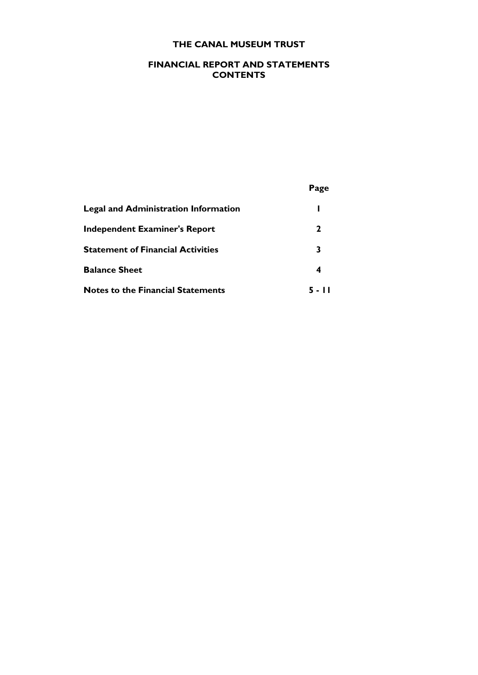## **FINANCIAL REPORT AND STATEMENTS CONTENTS**

|                                             | Page |
|---------------------------------------------|------|
| <b>Legal and Administration Information</b> | н    |
| <b>Independent Examiner's Report</b>        | 2    |
| <b>Statement of Financial Activities</b>    | 3    |
| <b>Balance Sheet</b>                        | 4    |
| <b>Notes to the Financial Statements</b>    |      |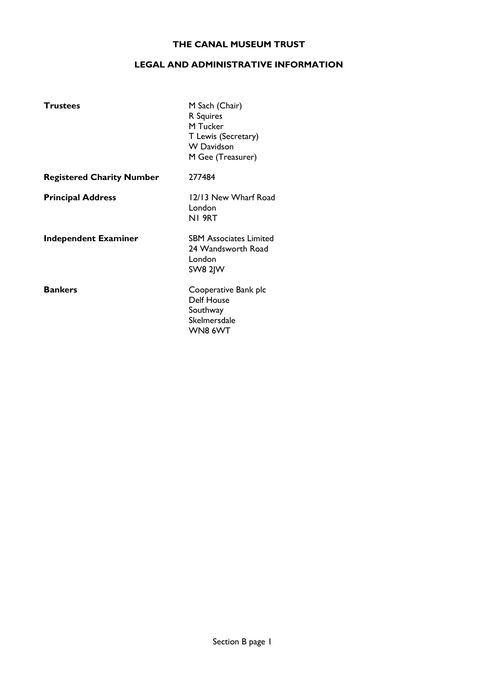### **LEGAL AND ADMINISTRATIVE INFORMATION**

| <b>Trustees</b>                  | M Sach (Chair)<br>R Squires<br>M Tucker<br>T Lewis (Secretary)<br><b>W</b> Davidson<br>M Gee (Treasurer) |
|----------------------------------|----------------------------------------------------------------------------------------------------------|
| <b>Registered Charity Number</b> | 277484                                                                                                   |
| <b>Principal Address</b>         | 12/13 New Wharf Road<br>London<br>NI 9RT                                                                 |
| <b>Independent Examiner</b>      | <b>SBM Associates Limited</b><br>24 Wandsworth Road<br>London<br><b>SW8 2JW</b>                          |
| <b>Bankers</b>                   | Cooperative Bank plc<br><b>Delf House</b><br>Southway<br>Skelmersdale<br>WN8 6WT                         |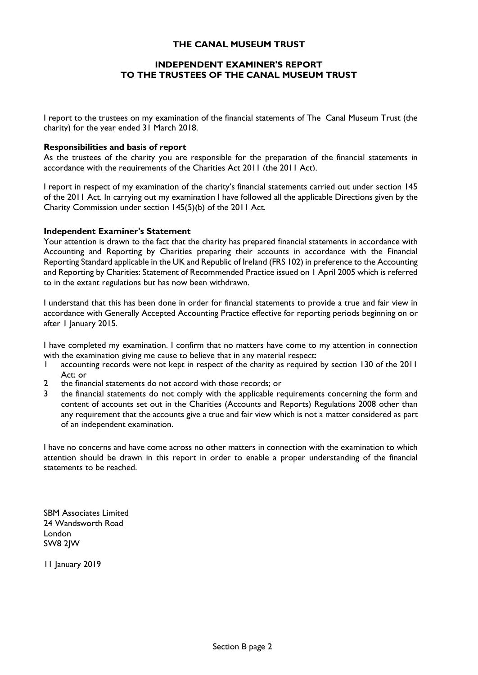### **INDEPENDENT EXAMINER'S REPORT TO THE TRUSTEES OF THE CANAL MUSEUM TRUST**

I report to the trustees on my examination of the financial statements of The Canal Museum Trust (the charity) for the year ended 31 March 2018.

#### **Responsibilities and basis of report**

As the trustees of the charity you are responsible for the preparation of the financial statements in accordance with the requirements of the Charities Act 2011 (the 2011 Act).

I report in respect of my examination of the charity's financial statements carried out under section 145 of the 2011 Act. In carrying out my examination I have followed all the applicable Directions given by the Charity Commission under section 145(5)(b) of the 2011 Act.

#### **Independent Examiner's Statement**

Your attention is drawn to the fact that the charity has prepared financial statements in accordance with Accounting and Reporting by Charities preparing their accounts in accordance with the Financial Reporting Standard applicable in the UK and Republic of Ireland (FRS 102) in preference to the Accounting and Reporting by Charities: Statement of Recommended Practice issued on 1 April 2005 which is referred to in the extant regulations but has now been withdrawn.

I understand that this has been done in order for financial statements to provide a true and fair view in accordance with Generally Accepted Accounting Practice effective for reporting periods beginning on or after 1 January 2015.

I have completed my examination. I confirm that no matters have come to my attention in connection with the examination giving me cause to believe that in any material respect:<br>I accounting records were not kept in respect of the charity as required

- 1 accounting records were not kept in respect of the charity as required by section 130 of the 2011 Act; or
- 2 the financial statements do not accord with those records; or
- 3 the financial statements do not comply with the applicable requirements concerning the form and content of accounts set out in the Charities (Accounts and Reports) Regulations 2008 other than any requirement that the accounts give a true and fair view which is not a matter considered as part of an independent examination.

I have no concerns and have come across no other matters in connection with the examination to which attention should be drawn in this report in order to enable a proper understanding of the financial statements to be reached.

SBM Associates Limited 24 Wandsworth Road London SW8 2JW

11 January 2019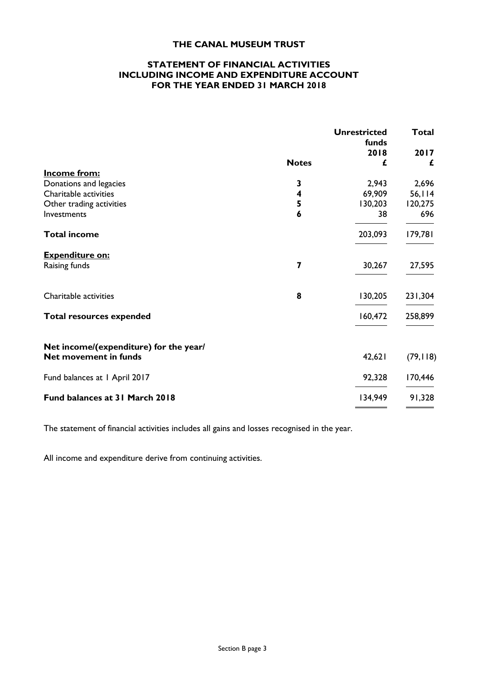### **STATEMENT OF FINANCIAL ACTIVITIES INCLUDING INCOME AND EXPENDITURE ACCOUNT FOR THE YEAR ENDED 31 MARCH 2018**

|                                        |                         | <b>Unrestricted</b><br>funds | <b>Total</b> |
|----------------------------------------|-------------------------|------------------------------|--------------|
|                                        |                         | 2018                         | 2017         |
|                                        | <b>Notes</b>            | £                            | £            |
| <b>Income from:</b>                    |                         |                              |              |
| Donations and legacies                 | 3                       | 2,943                        | 2,696        |
| Charitable activities                  | $\overline{\mathbf{4}}$ | 69,909                       | 56,114       |
| Other trading activities               | 5                       | 130,203                      | 120,275      |
| Investments                            | $\boldsymbol{6}$        | 38                           | 696          |
| <b>Total income</b>                    |                         | 203,093                      | 179,781      |
| <b>Expenditure on:</b>                 |                         |                              |              |
| Raising funds                          | 7                       | 30,267                       | 27,595       |
| Charitable activities                  | 8                       | 130,205                      | 231,304      |
| <b>Total resources expended</b>        |                         | 160,472                      | 258,899      |
| Net income/(expenditure) for the year/ |                         |                              |              |
| Net movement in funds                  |                         | 42,621                       | (79, 118)    |
| Fund balances at 1 April 2017          |                         | 92,328                       | 170,446      |
| Fund balances at 31 March 2018         |                         | 134,949                      | 91,328       |

The statement of financial activities includes all gains and losses recognised in the year.

All income and expenditure derive from continuing activities.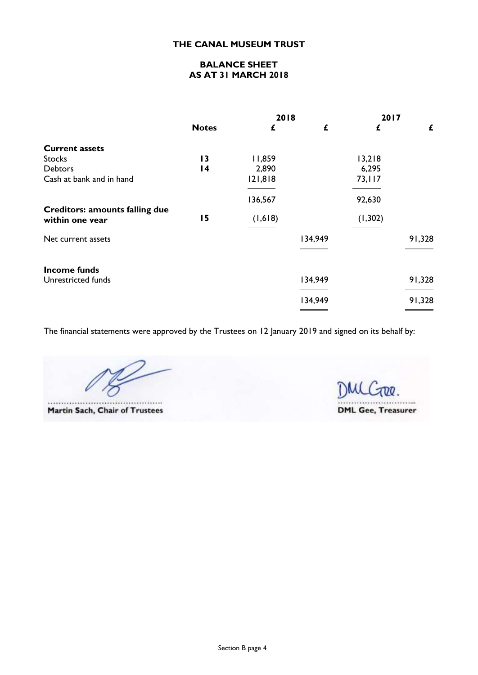## **BALANCE SHEET AS AT 31 MARCH 2018**

|                                       |                 | 2018    |         | 2017     |        |
|---------------------------------------|-----------------|---------|---------|----------|--------|
|                                       | <b>Notes</b>    | £       | £       | £        | £      |
| <b>Current assets</b>                 |                 |         |         |          |        |
| <b>Stocks</b>                         | 13              | 11,859  |         | 13,218   |        |
| <b>Debtors</b>                        | $\overline{14}$ | 2,890   |         | 6,295    |        |
| Cash at bank and in hand              |                 | 121,818 |         | 73,117   |        |
|                                       |                 | 136,567 |         | 92,630   |        |
| <b>Creditors: amounts falling due</b> |                 |         |         |          |        |
| within one year                       | 15              | (1,618) |         | (1, 302) |        |
| Net current assets                    |                 |         | 134,949 |          | 91,328 |
| <b>Income funds</b>                   |                 |         |         |          |        |
| Unrestricted funds                    |                 |         | 134,949 |          | 91,328 |
|                                       |                 |         | 134,949 |          | 91,328 |
|                                       |                 |         |         |          |        |

The financial statements were approved by the Trustees on 12 January 2019 and signed on its behalf by:

....... .....

**Martin Sach, Chair of Trustees** 

DMLGOO. ...... **DML Gee, Treasurer**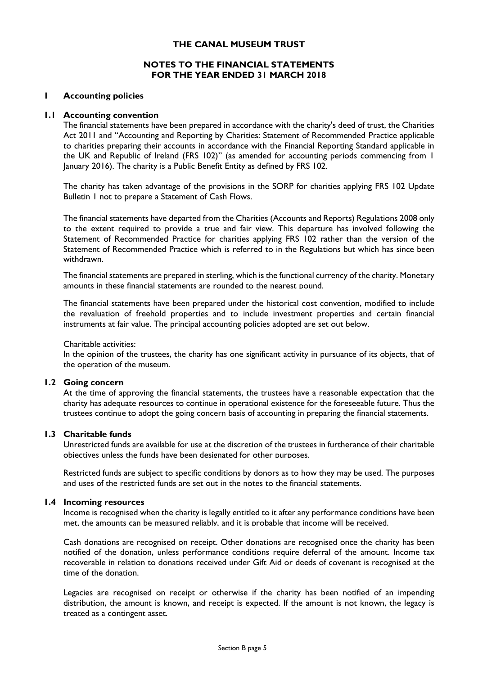### **NOTES TO THE FINANCIAL STATEMENTS FOR THE YEAR ENDED 31 MARCH 2018**

#### **1 Accounting policies**

#### **1.1 Accounting convention**

The financial statements have been prepared in accordance with the charity's deed of trust, the Charities Act 2011 and "Accounting and Reporting by Charities: Statement of Recommended Practice applicable to charities preparing their accounts in accordance with the Financial Reporting Standard applicable in the UK and Republic of Ireland (FRS 102)" (as amended for accounting periods commencing from 1 January 2016). The charity is a Public Benefit Entity as defined by FRS 102.

The charity has taken advantage of the provisions in the SORP for charities applying FRS 102 Update Bulletin 1 not to prepare a Statement of Cash Flows.

The financial statements have departed from the Charities (Accounts and Reports) Regulations 2008 only to the extent required to provide a true and fair view. This departure has involved following the Statement of Recommended Practice for charities applying FRS 102 rather than the version of the Statement of Recommended Practice which is referred to in the Regulations but which has since been withdrawn.

The financial statements are prepared in sterling, which is the functional currency of the charity. Monetary amounts in these financial statements are rounded to the nearest pound.

The financial statements have been prepared under the historical cost convention, modified to include the revaluation of freehold properties and to include investment properties and certain financial instruments at fair value. The principal accounting policies adopted are set out below.

#### Charitable activities:

In the opinion of the trustees, the charity has one significant activity in pursuance of its objects, that of the operation of the museum.

#### **1.2 Going concern**

At the time of approving the financial statements, the trustees have a reasonable expectation that the charity has adequate resources to continue in operational existence for the foreseeable future. Thus the trustees continue to adopt the going concern basis of accounting in preparing the financial statements.

#### **1.3 Charitable funds**

Unrestricted funds are available for use at the discretion of the trustees in furtherance of their charitable objectives unless the funds have been designated for other purposes.

Restricted funds are subject to specific conditions by donors as to how they may be used. The purposes and uses of the restricted funds are set out in the notes to the financial statements.

#### **1.4 Incoming resources**

Income is recognised when the charity is legally entitled to it after any performance conditions have been met, the amounts can be measured reliably, and it is probable that income will be received.

Cash donations are recognised on receipt. Other donations are recognised once the charity has been notified of the donation, unless performance conditions require deferral of the amount. Income tax recoverable in relation to donations received under Gift Aid or deeds of covenant is recognised at the time of the donation.

Legacies are recognised on receipt or otherwise if the charity has been notified of an impending distribution, the amount is known, and receipt is expected. If the amount is not known, the legacy is treated as a contingent asset.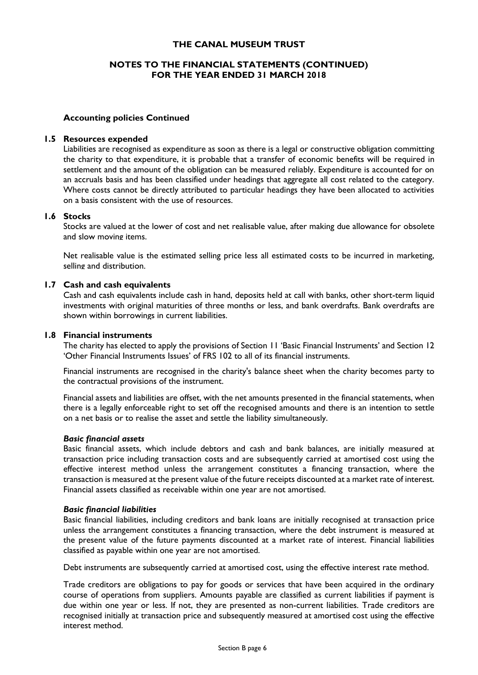### **NOTES TO THE FINANCIAL STATEMENTS (CONTINUED) FOR THE YEAR ENDED 31 MARCH 2018**

#### **Accounting policies Continued**

#### **1.5 Resources expended**

Liabilities are recognised as expenditure as soon as there is a legal or constructive obligation committing the charity to that expenditure, it is probable that a transfer of economic benefits will be required in settlement and the amount of the obligation can be measured reliably. Expenditure is accounted for on an accruals basis and has been classified under headings that aggregate all cost related to the category. Where costs cannot be directly attributed to particular headings they have been allocated to activities on a basis consistent with the use of resources.

#### **1.6 Stocks**

Stocks are valued at the lower of cost and net realisable value, after making due allowance for obsolete and slow moving items.

Net realisable value is the estimated selling price less all estimated costs to be incurred in marketing, selling and distribution.

#### **1.7 Cash and cash equivalents**

Cash and cash equivalents include cash in hand, deposits held at call with banks, other short-term liquid investments with original maturities of three months or less, and bank overdrafts. Bank overdrafts are shown within borrowings in current liabilities.

#### **1.8 Financial instruments**

The charity has elected to apply the provisions of Section 11 'Basic Financial Instruments' and Section 12 'Other Financial Instruments Issues' of FRS 102 to all of its financial instruments.

Financial instruments are recognised in the charity's balance sheet when the charity becomes party to the contractual provisions of the instrument.

Financial assets and liabilities are offset, with the net amounts presented in the financial statements, when there is a legally enforceable right to set off the recognised amounts and there is an intention to settle on a net basis or to realise the asset and settle the liability simultaneously.

#### *Basic financial assets*

Basic financial assets, which include debtors and cash and bank balances, are initially measured at transaction price including transaction costs and are subsequently carried at amortised cost using the effective interest method unless the arrangement constitutes a financing transaction, where the transaction is measured at the present value of the future receipts discounted at a market rate of interest. Financial assets classified as receivable within one year are not amortised.

#### *Basic financial liabilities*

Basic financial liabilities, including creditors and bank loans are initially recognised at transaction price unless the arrangement constitutes a financing transaction, where the debt instrument is measured at the present value of the future payments discounted at a market rate of interest. Financial liabilities classified as payable within one year are not amortised.

Debt instruments are subsequently carried at amortised cost, using the effective interest rate method.

Trade creditors are obligations to pay for goods or services that have been acquired in the ordinary course of operations from suppliers. Amounts payable are classified as current liabilities if payment is due within one year or less. If not, they are presented as non-current liabilities. Trade creditors are recognised initially at transaction price and subsequently measured at amortised cost using the effective interest method.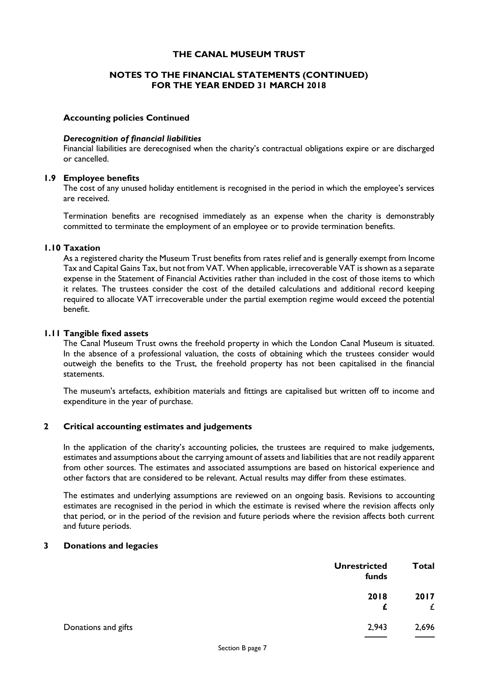### **NOTES TO THE FINANCIAL STATEMENTS (CONTINUED) FOR THE YEAR ENDED 31 MARCH 2018**

#### **Accounting policies Continued**

#### *Derecognition of financial liabilities*

Financial liabilities are derecognised when the charity's contractual obligations expire or are discharged or cancelled.

#### **1.9 Employee benefits**

The cost of any unused holiday entitlement is recognised in the period in which the employee's services are received.

Termination benefits are recognised immediately as an expense when the charity is demonstrably committed to terminate the employment of an employee or to provide termination benefits.

#### **1.10 Taxation**

As a registered charity the Museum Trust benefits from rates relief and is generally exempt from Income Tax and Capital Gains Tax, but not from VAT. When applicable, irrecoverable VAT is shown as a separate expense in the Statement of Financial Activities rather than included in the cost of those items to which it relates. The trustees consider the cost of the detailed calculations and additional record keeping required to allocate VAT irrecoverable under the partial exemption regime would exceed the potential benefit.

#### **1.11 Tangible fixed assets**

The Canal Museum Trust owns the freehold property in which the London Canal Museum is situated. In the absence of a professional valuation, the costs of obtaining which the trustees consider would outweigh the benefits to the Trust, the freehold property has not been capitalised in the financial statements.

The museum's artefacts, exhibition materials and fittings are capitalised but written off to income and expenditure in the year of purchase.

#### **2 Critical accounting estimates and judgements**

In the application of the charity's accounting policies, the trustees are required to make judgements, estimates and assumptions about the carrying amount of assets and liabilities that are not readily apparent from other sources. The estimates and associated assumptions are based on historical experience and other factors that are considered to be relevant. Actual results may differ from these estimates.

The estimates and underlying assumptions are reviewed on an ongoing basis. Revisions to accounting estimates are recognised in the period in which the estimate is revised where the revision affects only that period, or in the period of the revision and future periods where the revision affects both current and future periods.

#### **3 Donations and legacies**

| <b>Unrestricted</b><br>funds | <b>Total</b> |
|------------------------------|--------------|
| 2018<br>£                    | 2017<br>£    |
| 2,943<br>Donations and gifts | 2,696        |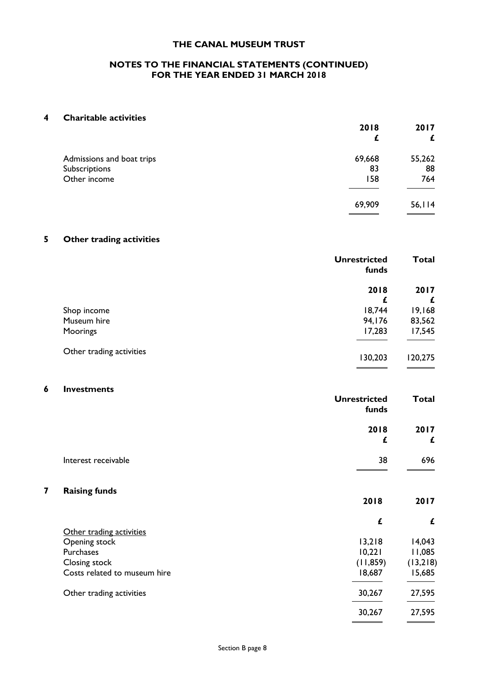#### **NOTES TO THE FINANCIAL STATEMENTS (CONTINUED) FOR THE YEAR ENDED 31 MARCH 2018**

#### **4 Charitable activities**

|                           | 2018   | 2017    |
|---------------------------|--------|---------|
|                           | £      | £       |
| Admissions and boat trips | 69,668 | 55,262  |
| Subscriptions             | 83     | 88      |
| Other income              | 158    | 764     |
|                           | 69,909 | 56, 114 |
|                           |        |         |

## **5 Other trading activities**

|                          | <b>Unrestricted</b><br>funds | <b>Total</b> |
|--------------------------|------------------------------|--------------|
|                          | 2018                         | 2017         |
|                          | £                            | £            |
| Shop income              | 18,744                       | 19,168       |
| Museum hire              | 94,176                       | 83,562       |
| Moorings                 | 17,283                       | 17,545       |
| Other trading activities | 130,203                      | 120,275      |

#### **6 Investments**

|                              | <b>Unrestricted</b><br>funds | Total            |
|------------------------------|------------------------------|------------------|
|                              | 2018                         | 2017             |
|                              | £                            | £                |
| Interest receivable          | 38                           | 696              |
| 7<br><b>Raising funds</b>    | 2018                         | 2017             |
|                              |                              |                  |
|                              | £                            | £                |
| Other trading activities     |                              |                  |
| Opening stock<br>Purchases   | 13,218<br>10,221             | 14,043<br>11,085 |
| Closing stock                | (11, 859)                    | (13,218)         |
| Costs related to museum hire | 18,687                       | 15,685           |
| Other trading activities     | 30,267                       | 27,595           |
|                              | 30,267                       | 27,595           |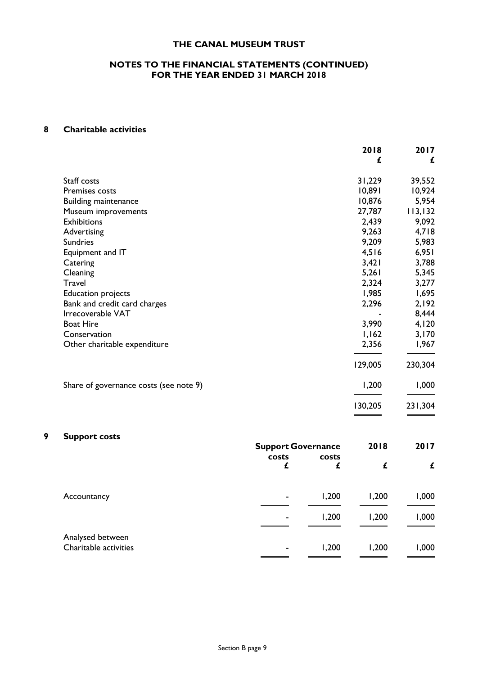#### **NOTES TO THE FINANCIAL STATEMENTS (CONTINUED) FOR THE YEAR ENDED 31 MARCH 2018**

## **8 Charitable activities**

|                                        | 2018    | 2017    |
|----------------------------------------|---------|---------|
|                                        | £       | £       |
| Staff costs                            | 31,229  | 39,552  |
| Premises costs                         | 10,891  | 10,924  |
| <b>Building maintenance</b>            | 10,876  | 5,954   |
| Museum improvements                    | 27,787  | 113,132 |
| <b>Exhibitions</b>                     | 2,439   | 9,092   |
| Advertising                            | 9,263   | 4,718   |
| <b>Sundries</b>                        | 9,209   | 5,983   |
| Equipment and IT                       | 4,516   | 6,951   |
| Catering                               | 3,421   | 3,788   |
| Cleaning                               | 5,261   | 5,345   |
| Travel                                 | 2,324   | 3,277   |
| <b>Education projects</b>              | 1,985   | 1,695   |
| Bank and credit card charges           | 2,296   | 2,192   |
| Irrecoverable VAT                      |         | 8,444   |
| <b>Boat Hire</b>                       | 3,990   | 4,120   |
| Conservation                           | 1,162   | 3,170   |
| Other charitable expenditure           | 2,356   | 1,967   |
|                                        | 129,005 | 230,304 |
| Share of governance costs (see note 9) | 1,200   | 1,000   |
|                                        | 130,205 | 231,304 |

## **9 Support costs**

|                                           | <b>Support Governance</b> |            | 2018  | 2017  |
|-------------------------------------------|---------------------------|------------|-------|-------|
|                                           | costs<br>£                | costs<br>£ | £     | £     |
| Accountancy                               | $\blacksquare$            | 1,200      | 1,200 | 1,000 |
|                                           | $\sim$                    | 1,200      | 1,200 | 1,000 |
| Analysed between<br>Charitable activities | ۰                         | 1,200      | 1,200 | 1,000 |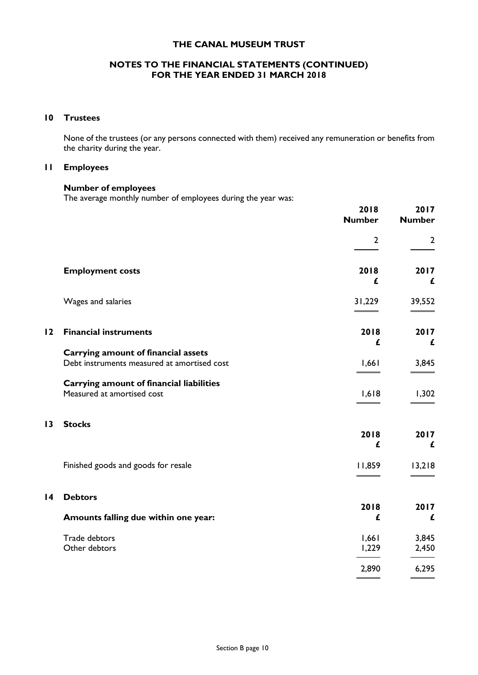## **NOTES TO THE FINANCIAL STATEMENTS (CONTINUED) FOR THE YEAR ENDED 31 MARCH 2018**

#### **10 Trustees**

None of the trustees (or any persons connected with them) received any remuneration or benefits from the charity during the year.

#### **11 Employees**

#### **Number of employees**

The average monthly number of employees during the year was:

|                 |                                                                                           | 2018<br><b>Number</b> | 2017<br><b>Number</b> |
|-----------------|-------------------------------------------------------------------------------------------|-----------------------|-----------------------|
|                 |                                                                                           | $\overline{2}$        | $\overline{2}$        |
|                 | <b>Employment costs</b>                                                                   | 2018<br>£             | 2017<br>£             |
|                 | Wages and salaries                                                                        | 31,229                | 39,552                |
| 12              | <b>Financial instruments</b>                                                              | 2018<br>£             | 2017<br>£             |
|                 | <b>Carrying amount of financial assets</b><br>Debt instruments measured at amortised cost | 1,661                 | 3,845                 |
|                 | <b>Carrying amount of financial liabilities</b><br>Measured at amortised cost             | 1,618                 | 1,302                 |
| $\overline{13}$ | <b>Stocks</b>                                                                             | 2018<br>£             | 2017<br>£             |
|                 | Finished goods and goods for resale                                                       | 11,859                | 13,218                |
| $\overline{14}$ | <b>Debtors</b>                                                                            |                       |                       |
|                 | Amounts falling due within one year:                                                      | 2018<br>£             | 2017<br>£             |
|                 | Trade debtors<br>Other debtors                                                            | 1,661<br>1,229        | 3,845<br>2,450        |
|                 |                                                                                           | 2,890                 | 6,295                 |